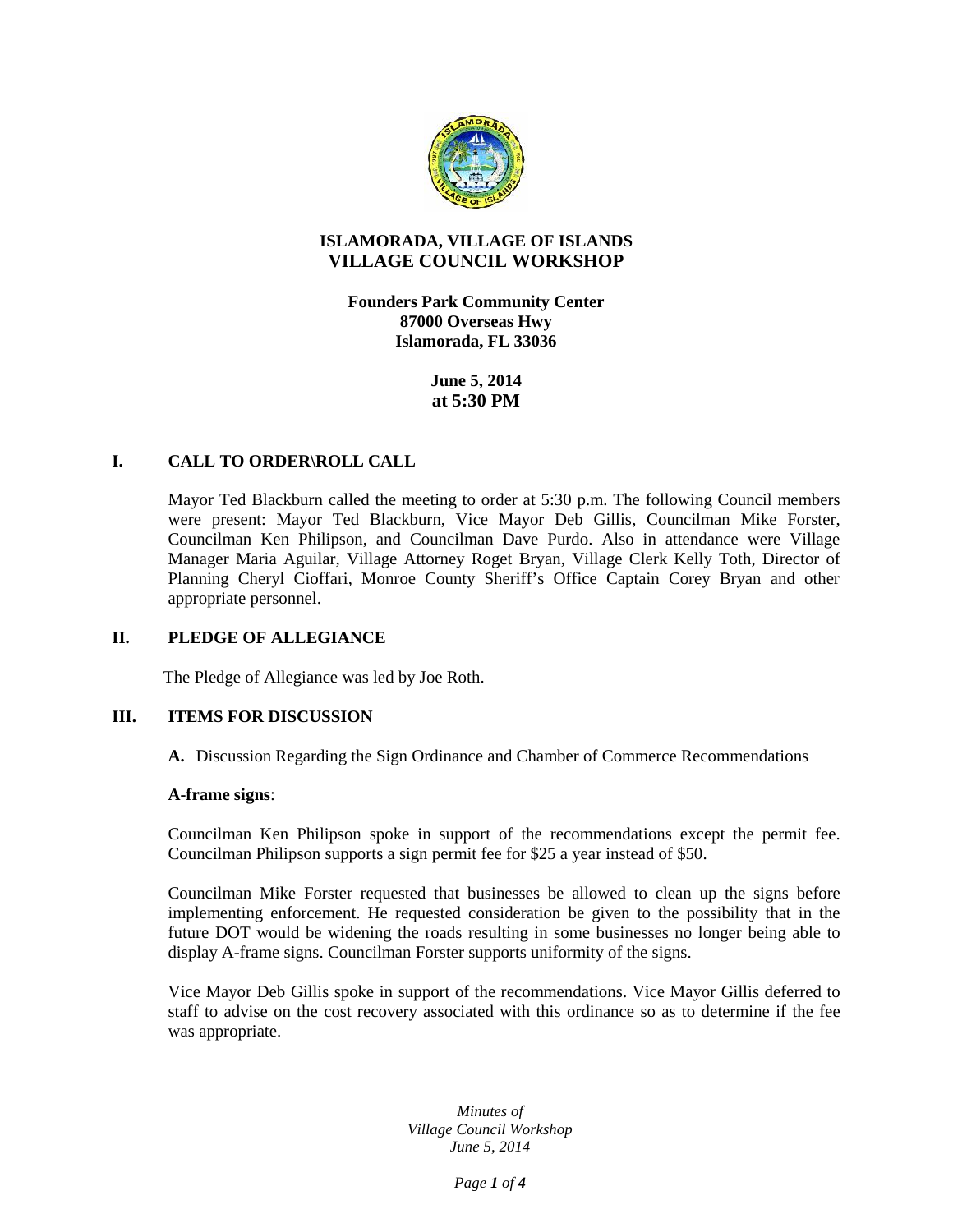

# **ISLAMORADA, VILLAGE OF ISLANDS VILLAGE COUNCIL WORKSHOP**

**Founders Park Community Center 87000 Overseas Hwy Islamorada, FL 33036**

> **June 5, 2014 at 5:30 PM**

# **I. CALL TO ORDER\ROLL CALL**

Mayor Ted Blackburn called the meeting to order at 5:30 p.m. The following Council members were present: Mayor Ted Blackburn, Vice Mayor Deb Gillis, Councilman Mike Forster, Councilman Ken Philipson, and Councilman Dave Purdo. Also in attendance were Village Manager Maria Aguilar, Village Attorney Roget Bryan, Village Clerk Kelly Toth, Director of Planning Cheryl Cioffari, Monroe County Sheriff's Office Captain Corey Bryan and other appropriate personnel.

### **II. PLEDGE OF ALLEGIANCE**

The Pledge of Allegiance was led by Joe Roth.

#### **III. ITEMS FOR DISCUSSION**

**A.** Discussion Regarding the Sign Ordinance and Chamber of Commerce Recommendations

## **A-frame signs**:

Councilman Ken Philipson spoke in support of the recommendations except the permit fee. Councilman Philipson supports a sign permit fee for \$25 a year instead of \$50.

Councilman Mike Forster requested that businesses be allowed to clean up the signs before implementing enforcement. He requested consideration be given to the possibility that in the future DOT would be widening the roads resulting in some businesses no longer being able to display A-frame signs. Councilman Forster supports uniformity of the signs.

Vice Mayor Deb Gillis spoke in support of the recommendations. Vice Mayor Gillis deferred to staff to advise on the cost recovery associated with this ordinance so as to determine if the fee was appropriate.

> *Minutes of Village Council Workshop June 5, 2014*

> > *Page 1 of 4*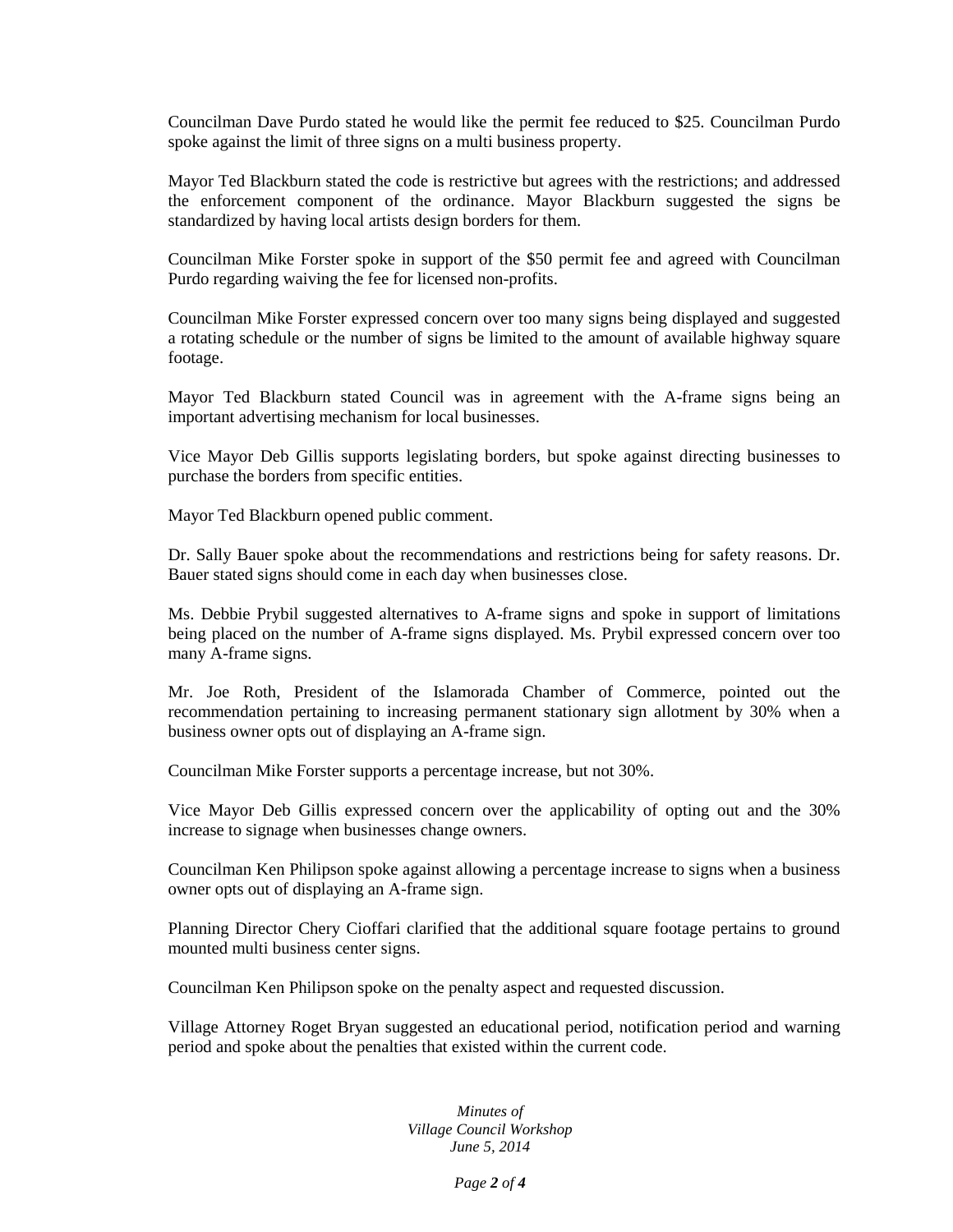Councilman Dave Purdo stated he would like the permit fee reduced to \$25. Councilman Purdo spoke against the limit of three signs on a multi business property.

Mayor Ted Blackburn stated the code is restrictive but agrees with the restrictions; and addressed the enforcement component of the ordinance. Mayor Blackburn suggested the signs be standardized by having local artists design borders for them.

Councilman Mike Forster spoke in support of the \$50 permit fee and agreed with Councilman Purdo regarding waiving the fee for licensed non-profits.

Councilman Mike Forster expressed concern over too many signs being displayed and suggested a rotating schedule or the number of signs be limited to the amount of available highway square footage.

Mayor Ted Blackburn stated Council was in agreement with the A-frame signs being an important advertising mechanism for local businesses.

Vice Mayor Deb Gillis supports legislating borders, but spoke against directing businesses to purchase the borders from specific entities.

Mayor Ted Blackburn opened public comment.

Dr. Sally Bauer spoke about the recommendations and restrictions being for safety reasons. Dr. Bauer stated signs should come in each day when businesses close.

Ms. Debbie Prybil suggested alternatives to A-frame signs and spoke in support of limitations being placed on the number of A-frame signs displayed. Ms. Prybil expressed concern over too many A-frame signs.

Mr. Joe Roth, President of the Islamorada Chamber of Commerce, pointed out the recommendation pertaining to increasing permanent stationary sign allotment by 30% when a business owner opts out of displaying an A-frame sign.

Councilman Mike Forster supports a percentage increase, but not 30%.

Vice Mayor Deb Gillis expressed concern over the applicability of opting out and the 30% increase to signage when businesses change owners.

Councilman Ken Philipson spoke against allowing a percentage increase to signs when a business owner opts out of displaying an A-frame sign.

Planning Director Chery Cioffari clarified that the additional square footage pertains to ground mounted multi business center signs.

Councilman Ken Philipson spoke on the penalty aspect and requested discussion.

Village Attorney Roget Bryan suggested an educational period, notification period and warning period and spoke about the penalties that existed within the current code.

> *Minutes of Village Council Workshop June 5, 2014*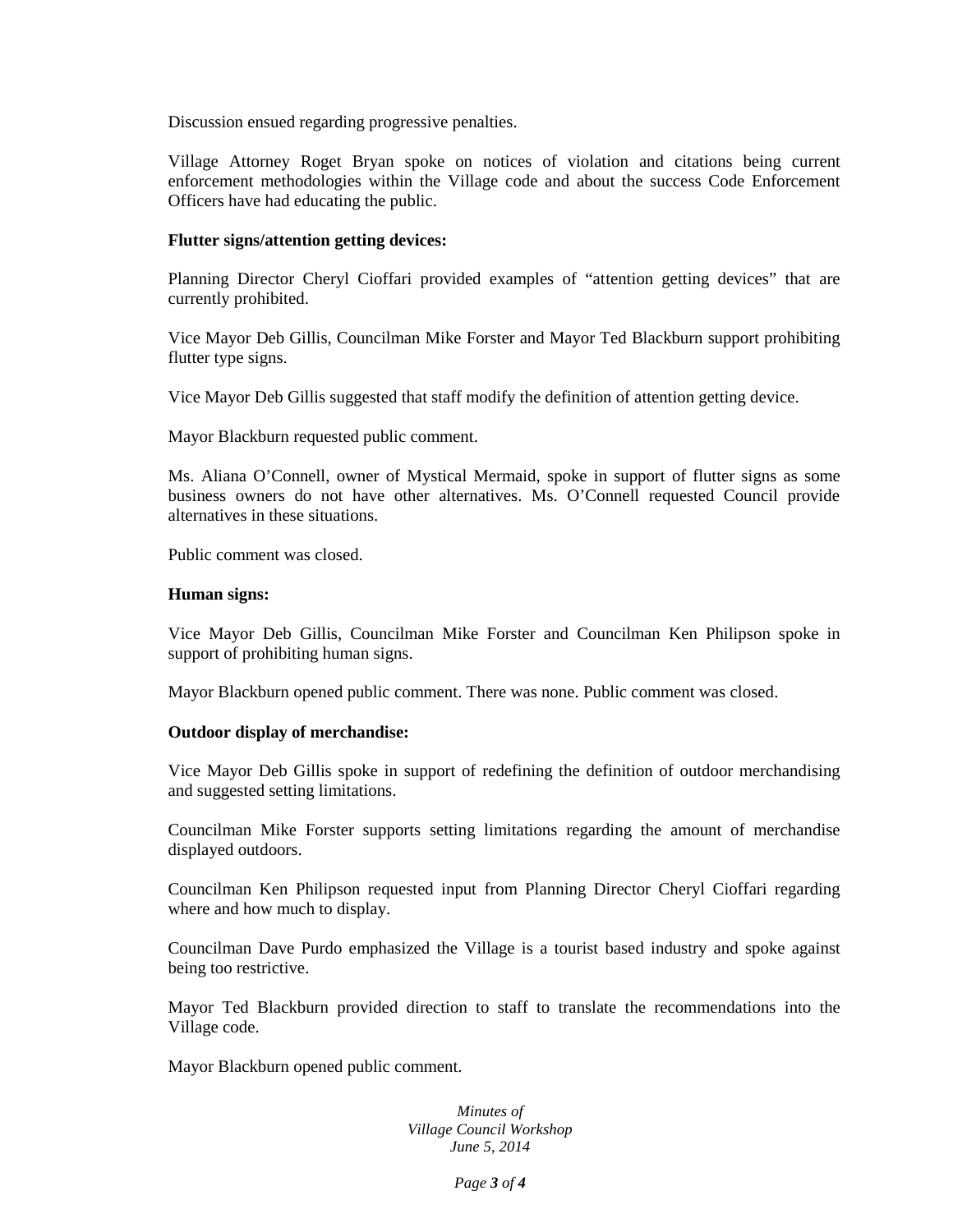Discussion ensued regarding progressive penalties.

Village Attorney Roget Bryan spoke on notices of violation and citations being current enforcement methodologies within the Village code and about the success Code Enforcement Officers have had educating the public.

## **Flutter signs/attention getting devices:**

Planning Director Cheryl Cioffari provided examples of "attention getting devices" that are currently prohibited.

Vice Mayor Deb Gillis, Councilman Mike Forster and Mayor Ted Blackburn support prohibiting flutter type signs.

Vice Mayor Deb Gillis suggested that staff modify the definition of attention getting device.

Mayor Blackburn requested public comment.

Ms. Aliana O'Connell, owner of Mystical Mermaid, spoke in support of flutter signs as some business owners do not have other alternatives. Ms. O'Connell requested Council provide alternatives in these situations.

Public comment was closed.

## **Human signs:**

Vice Mayor Deb Gillis, Councilman Mike Forster and Councilman Ken Philipson spoke in support of prohibiting human signs.

Mayor Blackburn opened public comment. There was none. Public comment was closed.

# **Outdoor display of merchandise:**

Vice Mayor Deb Gillis spoke in support of redefining the definition of outdoor merchandising and suggested setting limitations.

Councilman Mike Forster supports setting limitations regarding the amount of merchandise displayed outdoors.

Councilman Ken Philipson requested input from Planning Director Cheryl Cioffari regarding where and how much to display.

Councilman Dave Purdo emphasized the Village is a tourist based industry and spoke against being too restrictive.

Mayor Ted Blackburn provided direction to staff to translate the recommendations into the Village code.

Mayor Blackburn opened public comment.

*Minutes of Village Council Workshop June 5, 2014*